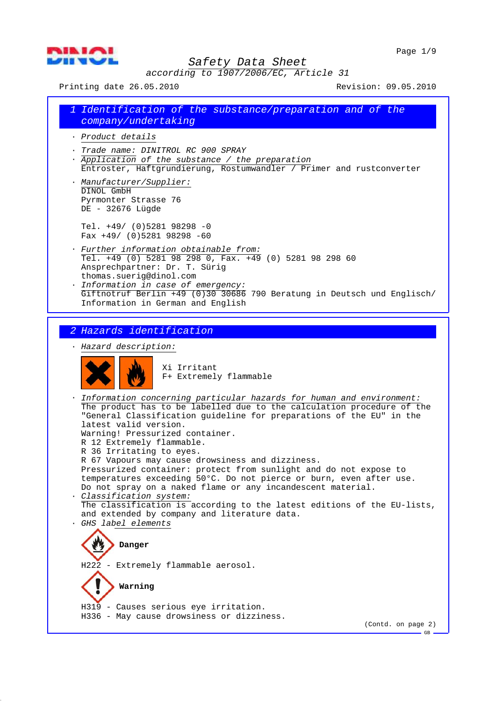



*according to 1907/2006/EC, Article 31*

Printing date 26.05.2010 Revision: 09.05.2010

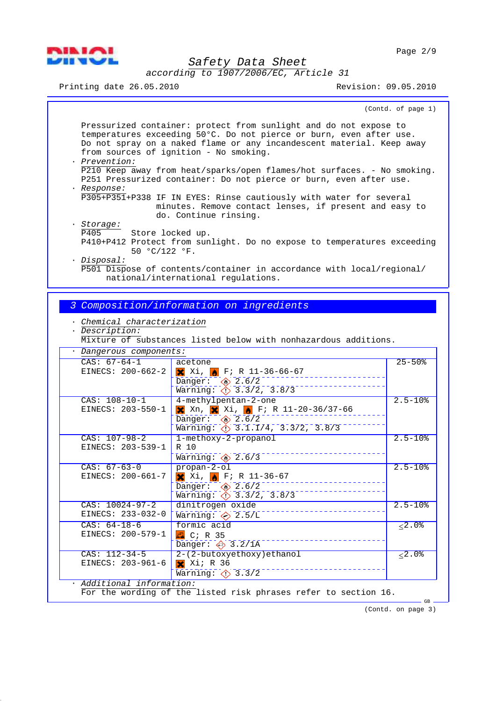



*according to 1907/2006/EC, Article 31*

Printing date 26.05.2010 Revision: 09.05.2010

(Contd. of page 1) Pressurized container: protect from sunlight and do not expose to temperatures exceeding 50°C. Do not pierce or burn, even after use. Do not spray on a naked flame or any incandescent material. Keep away from sources of ignition - No smoking. · *Prevention:* P210 Keep away from heat/sparks/open flames/hot surfaces. - No smoking. P251 Pressurized container: Do not pierce or burn, even after use. · *Response:* P305+P351+P338 IF IN EYES: Rinse cautiously with water for several minutes. Remove contact lenses, if present and easy to do. Continue rinsing. · *Storage:* Store locked up. P410+P412 Protect from sunlight. Do no expose to temperatures exceeding 50 °C/122 °F. · *Disposal:* P501 Dispose of contents/container in accordance with local/regional/ national/international regulations.

|  | 3 Composition/information on ingredients |  |  |  |  |  |  |
|--|------------------------------------------|--|--|--|--|--|--|
|--|------------------------------------------|--|--|--|--|--|--|

- · *Chemical characterization*
- · *Description:*
	- Mixture of substances listed below with nonhazardous additions.

| Dangerous components:     |                                                                                          |                         |
|---------------------------|------------------------------------------------------------------------------------------|-------------------------|
| $CAS: 67-64-1$            | acetone                                                                                  | $25 - 50$               |
| EINECS: 200-662-2         | $\frac{1}{10}$ Xi, $\frac{1}{10}$ F; R 11-36-66-67                                       |                         |
|                           | Danger: $\otimes$ 2.6/2<br><u> - - - - - - - - - - - -</u>                               |                         |
|                           | Warning: $\sqrt{3.3/2, 3.8/3}$                                                           |                         |
| CAS: 108-10-1             | 4-methylpentan-2-one                                                                     | $2.5 - 10$ <sup>8</sup> |
| EINECS: 203-550-1         | <b>X</b> Xn, <b>X</b> Xi, $\frac{1}{2}$ F; R 11-20-36/37-66                              |                         |
|                           | Danger: $\circ$ 2.6/2                                                                    |                         |
|                           | Warning: ( 3.1.I/4, 3.3/2, 3.8/3                                                         |                         |
| CAS: 107-98-2             | 1-methoxy-2-propanol                                                                     | $2.5 - 10$ $%$          |
| EINECS: 203-539-1         | R 10                                                                                     |                         |
|                           | Warning: $\otimes$ 2.6/3                                                                 |                         |
| $CAS: 67-63-0$            | propan-2-ol                                                                              | $2.5 - 108$             |
| EINECS: 200-661-7         | $\overline{\mathbf{x}}$ $\overline{\mathbf{x}}$ i, $\overline{\mathbf{b}}$ F; R 11-36-67 |                         |
|                           | Danger: $\otimes$ 2.6/2                                                                  |                         |
|                           | Warning: $\langle \rangle$ 3.3/2, 3.8/3                                                  |                         |
| $CAS: 10024-97-2$         | dinitrogen oxide                                                                         | $2.5 - 10$ $%$          |
| EINECS: 233-032-0         | Warning: $\diamond$ 2.5/L                                                                |                         |
| $CAS: 64-18-6$            | formic acid                                                                              | < 2.0                   |
| EINECS: 200-579-1         | $\Box$ C; R 35                                                                           |                         |
|                           | Danger: $\iff$ 3.2/1A                                                                    |                         |
| $CAS: 112-34-5$           | 2-(2-butoxyethoxy)ethanol                                                                | < 2.0                   |
| EINECS: 203-961-6         | $X$ Xi; R 36                                                                             |                         |
|                           | Warning: $\bigcirc$ 3.3/2                                                                |                         |
| · Additional information: |                                                                                          |                         |
|                           | For the wording of the listed risk phrases refer to section 16.                          |                         |

(Contd. on page 3)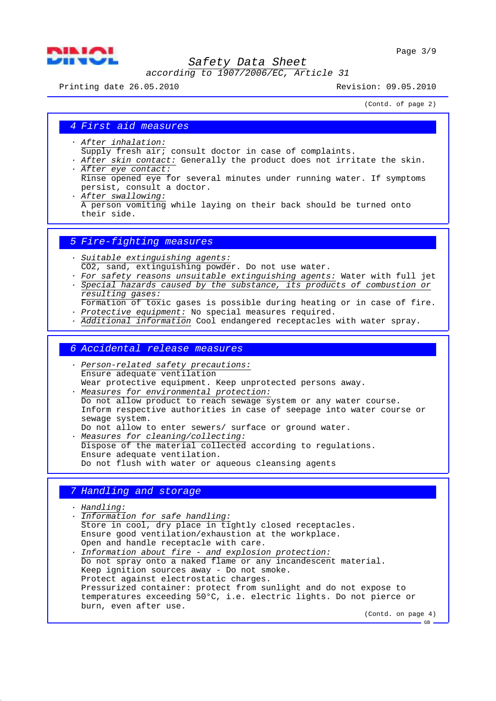



*according to 1907/2006/EC, Article 31*

Printing date 26.05.2010 Revision: 09.05.2010

(Contd. of page 2)

#### *4 First aid measures*

- · *After inhalation:*
- Supply fresh air; consult doctor in case of complaints.
- · *After skin contact:* Generally the product does not irritate the skin.
- · *After eye contact:*
- Rinse opened eye for several minutes under running water. If symptoms persist, consult a doctor.
- · *After swallowing:* A person vomiting while laying on their back should be turned onto their side.

#### *5 Fire-fighting measures*

- · *Suitable extinguishing agents:* CO2, sand, extinguishing powder. Do not use water.
- · *For safety reasons unsuitable extinguishing agents:* Water with full jet · *Special hazards caused by the substance, its products of combustion or resulting gases:*
- Formation of toxic gases is possible during heating or in case of fire.
- · *Protective equipment:* No special measures required.
- · *Additional information* Cool endangered receptacles with water spray.

## *6 Accidental release measures*

· *Person-related safety precautions:* Ensure adequate ventilation Wear protective equipment. Keep unprotected persons away. · *Measures for environmental protection:* Do not allow product to reach sewage system or any water course. Inform respective authorities in case of seepage into water course or sewage system. Do not allow to enter sewers/ surface or ground water. · *Measures for cleaning/collecting:* Dispose of the material collected according to regulations. Ensure adequate ventilation. Do not flush with water or aqueous cleansing agents

### *7 Handling and storage*

· *Handling:*

· *Information for safe handling:* Store in cool, dry place in tightly closed receptacles. Ensure good ventilation/exhaustion at the workplace. Open and handle receptacle with care. · *Information about fire - and explosion protection:* Do not spray onto a naked flame or any incandescent material. Keep ignition sources away - Do not smoke. Protect against electrostatic charges. Pressurized container: protect from sunlight and do not expose to temperatures exceeding 50°C, i.e. electric lights. Do not pierce or burn, even after use.

(Contd. on page 4)

GB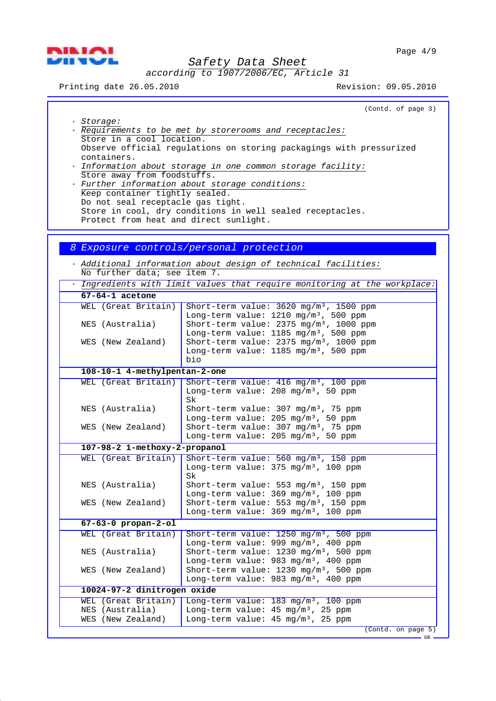

*according to 1907/2006/EC, Article 31*

Printing date 26.05.2010 Revision: 09.05.2010

|            |                                                                     | (Contd. of page 3)                                                                                       |  |  |
|------------|---------------------------------------------------------------------|----------------------------------------------------------------------------------------------------------|--|--|
| · Storage: |                                                                     |                                                                                                          |  |  |
|            |                                                                     | · Requirements to be met by storerooms and receptacles:                                                  |  |  |
|            | Store in a cool location.                                           |                                                                                                          |  |  |
|            | Observe official regulations on storing packagings with pressurized |                                                                                                          |  |  |
|            | containers.                                                         |                                                                                                          |  |  |
|            |                                                                     | · Information about storage in one common storage facility:                                              |  |  |
|            | Store away from foodstuffs.                                         |                                                                                                          |  |  |
|            | Keep container tightly sealed.                                      | · Further information about storage conditions:                                                          |  |  |
|            |                                                                     | Do not seal receptacle gas tight.                                                                        |  |  |
|            |                                                                     | Store in cool, dry conditions in well sealed receptacles.                                                |  |  |
|            |                                                                     | Protect from heat and direct sunlight.                                                                   |  |  |
|            |                                                                     |                                                                                                          |  |  |
|            |                                                                     | 8 Exposure controls/personal protection                                                                  |  |  |
|            |                                                                     |                                                                                                          |  |  |
|            | No further data; see item 7.                                        | · Additional information about design of technical facilities:                                           |  |  |
|            |                                                                     | Ingredients with limit values that require monitoring at the workplace:                                  |  |  |
|            |                                                                     |                                                                                                          |  |  |
|            | $67-64-1$ acetone                                                   |                                                                                                          |  |  |
|            | WEL (Great Britain)                                                 | Short-term value: 3620 mg/m <sup>3</sup> , 1500 ppm                                                      |  |  |
|            | NES (Australia)                                                     | Long-term value: 1210 mg/m <sup>3</sup> , 500 ppm                                                        |  |  |
|            |                                                                     | Short-term value: 2375 mg/m <sup>3</sup> , 1000 ppm<br>Long-term value: 1185 mg/m <sup>3</sup> , 500 ppm |  |  |
|            | WES (New Zealand)                                                   | Short-term value: 2375 mg/m <sup>3</sup> , 1000 ppm                                                      |  |  |
|            |                                                                     | Long-term value: 1185 mg/m <sup>3</sup> , 500 ppm                                                        |  |  |
|            |                                                                     | bio                                                                                                      |  |  |
|            | 108-10-1 4-methylpentan-2-one                                       |                                                                                                          |  |  |
|            | WEL (Great Britain)                                                 | Short-term value: 416 mg/m <sup>3</sup> , 100 ppm                                                        |  |  |
|            |                                                                     | Long-term value: $208 \text{ mg/m}^3$ , 50 ppm<br>Sk                                                     |  |  |
|            | NES (Australia)                                                     | Short-term value: 307 mg/m <sup>3</sup> , 75 ppm                                                         |  |  |
|            |                                                                     | Long-term value: 205 mg/m <sup>3</sup> , 50 ppm                                                          |  |  |
|            | WES (New Zealand)                                                   | Short-term value: 307 mg/m <sup>3</sup> , 75 ppm                                                         |  |  |
|            |                                                                     | Long-term value: 205 mg/m <sup>3</sup> , 50 ppm                                                          |  |  |
|            | 107-98-2 1-methoxy-2-propanol                                       |                                                                                                          |  |  |
|            | WEL (Great Britain)                                                 | Short-term value: 560 mg/m <sup>3</sup> , 150 ppm                                                        |  |  |
|            |                                                                     | Long-term value: 375 mg/m <sup>3</sup> , 100 ppm<br>Sk                                                   |  |  |
|            | NES (Australia)                                                     | Short-term value: 553 mg/m <sup>3</sup> , 150 ppm                                                        |  |  |
|            |                                                                     | Long-term value: 369 mg/m <sup>3</sup> , 100 ppm                                                         |  |  |
|            | WES (New Zealand)                                                   | Short-term value: 553 mg/m <sup>3</sup> , 150 ppm                                                        |  |  |
|            |                                                                     | Long-term value: 369 mg/m <sup>3</sup> , 100 ppm                                                         |  |  |
|            | $67 - 63 - 0$ propan-2-ol                                           |                                                                                                          |  |  |
|            | WEL (Great Britain)                                                 | Short-term value: 1250 mg/m <sup>3</sup> , 500 ppm                                                       |  |  |
|            |                                                                     | Long-term value: 999 mg/m <sup>3</sup> , 400 ppm                                                         |  |  |
|            | NES (Australia)                                                     | Short-term value: 1230 mg/m <sup>3</sup> , 500 ppm                                                       |  |  |
|            |                                                                     | Long-term value: 983 mg/m <sup>3</sup> , 400 ppm                                                         |  |  |
|            | WES (New Zealand)                                                   | Short-term value: 1230 mg/m <sup>3</sup> , 500 ppm                                                       |  |  |
|            |                                                                     | Long-term value: 983 mg/m <sup>3</sup> , 400 ppm                                                         |  |  |
|            | 10024-97-2 dinitrogen oxide                                         |                                                                                                          |  |  |
|            |                                                                     |                                                                                                          |  |  |
|            | WEL (Great Britain)                                                 | Long-term value: 183 mg/m <sup>3</sup> , 100 ppm                                                         |  |  |
|            | NES (Australia)<br>WES (New Zealand)                                | Long-term value: 45 mg/m <sup>3</sup> , 25 ppm<br>Long-term value: 45 mg/m <sup>3</sup> , 25 ppm         |  |  |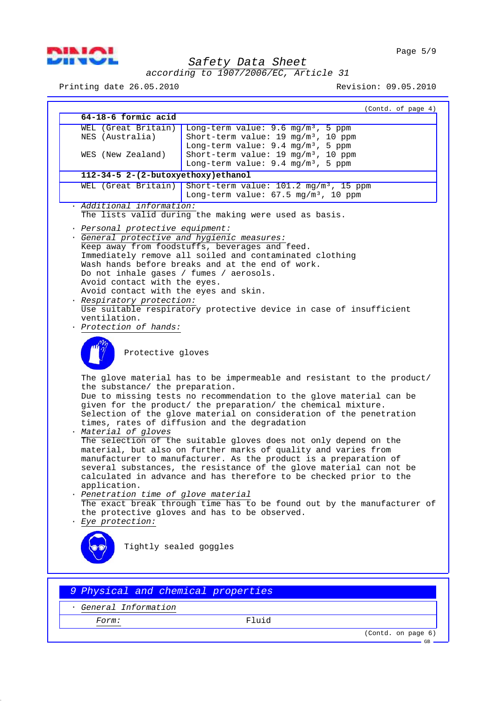

*according to 1907/2006/EC, Article 31*

Printing date 26.05.2010 Revision: 09.05.2010

| 64-18-6 formic acid                                                                                                                                                                                                                                                                             |                                                                                                                                                                                                                                                                                                                                                                                                                                                                                                                                                                                                                                                                                               |
|-------------------------------------------------------------------------------------------------------------------------------------------------------------------------------------------------------------------------------------------------------------------------------------------------|-----------------------------------------------------------------------------------------------------------------------------------------------------------------------------------------------------------------------------------------------------------------------------------------------------------------------------------------------------------------------------------------------------------------------------------------------------------------------------------------------------------------------------------------------------------------------------------------------------------------------------------------------------------------------------------------------|
|                                                                                                                                                                                                                                                                                                 |                                                                                                                                                                                                                                                                                                                                                                                                                                                                                                                                                                                                                                                                                               |
| WEL (Great Britain)<br>NES (Australia)<br>WES (New Zealand)                                                                                                                                                                                                                                     | Long-term value: $9.6 \text{ mg/m}^3$ , 5 ppm<br>Short-term value: 19 mg/m <sup>3</sup> , 10 ppm<br>Long-term value: $9.4 \text{ mg/m}^3$ , 5 ppm<br>Short-term value: 19 mg/m <sup>3</sup> , 10 ppm<br>Long-term value: 9.4 mg/m <sup>3</sup> , 5 ppm                                                                                                                                                                                                                                                                                                                                                                                                                                        |
| 112-34-5 2-(2-butoxyethoxy)ethanol                                                                                                                                                                                                                                                              |                                                                                                                                                                                                                                                                                                                                                                                                                                                                                                                                                                                                                                                                                               |
|                                                                                                                                                                                                                                                                                                 |                                                                                                                                                                                                                                                                                                                                                                                                                                                                                                                                                                                                                                                                                               |
|                                                                                                                                                                                                                                                                                                 | WEL (Great Britain) Short-term value: $101.2$ mg/m <sup>3</sup> , 15 ppm<br>Long-term value: $67.5 \text{ mg/m}^3$ , 10 ppm                                                                                                                                                                                                                                                                                                                                                                                                                                                                                                                                                                   |
| · Additional information:                                                                                                                                                                                                                                                                       | The lists valid during the making were used as basis.                                                                                                                                                                                                                                                                                                                                                                                                                                                                                                                                                                                                                                         |
| · Personal protective equipment:<br>· General protective and hygienic measures:<br>Do not inhale gases / fumes / aerosols.<br>Avoid contact with the eyes.<br>Avoid contact with the eyes and skin.<br>· Respiratory protection:<br>ventilation.<br>· Protection of hands:<br>Protective gloves | Keep away from foodstuffs, beverages and feed.<br>Immediately remove all soiled and contaminated clothing<br>Wash hands before breaks and at the end of work.<br>Use suitable respiratory protective device in case of insufficient                                                                                                                                                                                                                                                                                                                                                                                                                                                           |
| the substance/ the preparation.<br>· Material of gloves                                                                                                                                                                                                                                         | The glove material has to be impermeable and resistant to the product/<br>Due to missing tests no recommendation to the glove material can be<br>given for the product/ the preparation/ the chemical mixture.<br>Selection of the glove material on consideration of the penetration<br>times, rates of diffusion and the degradation<br>The selection of the suitable gloves does not only depend on the<br>material, but also on further marks of quality and varies from<br>manufacturer to manufacturer. As the product is a preparation of<br>several substances, the resistance of the glove material can not be<br>calculated in advance and has therefore to be checked prior to the |
| application.<br>· Penetration time of glove material<br>Eye protection:<br>Tightly sealed goggles                                                                                                                                                                                               | The exact break through time has to be found out by the manufacturer of<br>the protective gloves and has to be observed.                                                                                                                                                                                                                                                                                                                                                                                                                                                                                                                                                                      |
|                                                                                                                                                                                                                                                                                                 |                                                                                                                                                                                                                                                                                                                                                                                                                                                                                                                                                                                                                                                                                               |
| 9 Physical and chemical properties                                                                                                                                                                                                                                                              |                                                                                                                                                                                                                                                                                                                                                                                                                                                                                                                                                                                                                                                                                               |
|                                                                                                                                                                                                                                                                                                 |                                                                                                                                                                                                                                                                                                                                                                                                                                                                                                                                                                                                                                                                                               |
| · General Information                                                                                                                                                                                                                                                                           |                                                                                                                                                                                                                                                                                                                                                                                                                                                                                                                                                                                                                                                                                               |
| <i>Form:</i>                                                                                                                                                                                                                                                                                    | Fluid                                                                                                                                                                                                                                                                                                                                                                                                                                                                                                                                                                                                                                                                                         |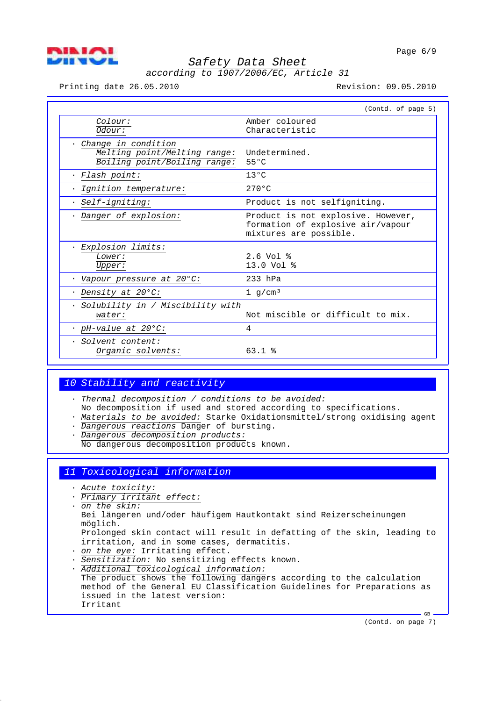

*according to 1907/2006/EC, Article 31*

Printing date 26.05.2010 Revision: 09.05.2010

|                                                                                       | (Contd. of page 5)                                                                                |
|---------------------------------------------------------------------------------------|---------------------------------------------------------------------------------------------------|
| Colour:<br>Odour:                                                                     | Amber coloured<br>Characteristic                                                                  |
| · Change in condition<br>Melting point/Melting range:<br>Boiling point/Boiling range: | Undetermined.<br>55°C                                                                             |
| Flash point:                                                                          | 130C                                                                                              |
| Ignition temperature:                                                                 | $270^{\circ}$ C                                                                                   |
| Self-igniting:                                                                        | Product is not selfigniting.                                                                      |
| Danger of explosion:                                                                  | Product is not explosive. However,<br>formation of explosive air/vapour<br>mixtures are possible. |
| Explosion limits:<br>Lower:<br>Upper:                                                 | $2.6 \text{ Vol }$ %<br>13.0 Vol %                                                                |
| · Vapour pressure at 20°C:                                                            | 233 hPa                                                                                           |
| · Density at 20°C:                                                                    | 1 $q/cm^3$                                                                                        |
| Solubility in / Miscibility with<br>water:                                            | Not miscible or difficult to mix.                                                                 |
| $\cdot$ pH-value at 20°C:                                                             | 4                                                                                                 |
| Solvent content:<br>Organic solvents:                                                 | $63.1$ $%$                                                                                        |

# *10 Stability and reactivity*

· *Thermal decomposition / conditions to be avoided:*

No decomposition if used and stored according to specifications.

- · *Materials to be avoided:* Starke Oxidationsmittel/strong oxidising agent
- · *Dangerous reactions* Danger of bursting.
- · *Dangerous decomposition products:*
- No dangerous decomposition products known.

#### *11 Toxicological information*

- · *Acute toxicity:*
- · *Primary irritant effect:*
- · *on the skin:*

```
Bei längeren und/oder häufigem Hautkontakt sind Reizerscheinungen
möglich.
```
Prolonged skin contact will result in defatting of the skin, leading to irritation, and in some cases, dermatitis.

- on the eye: Irritating effect.
- · *Sensitization:* No sensitizing effects known.
- · *Additional toxicological information:*

The product shows the following dangers according to the calculation method of the General EU Classification Guidelines for Preparations as issued in the latest version: Irritant GB

(Contd. on page 7)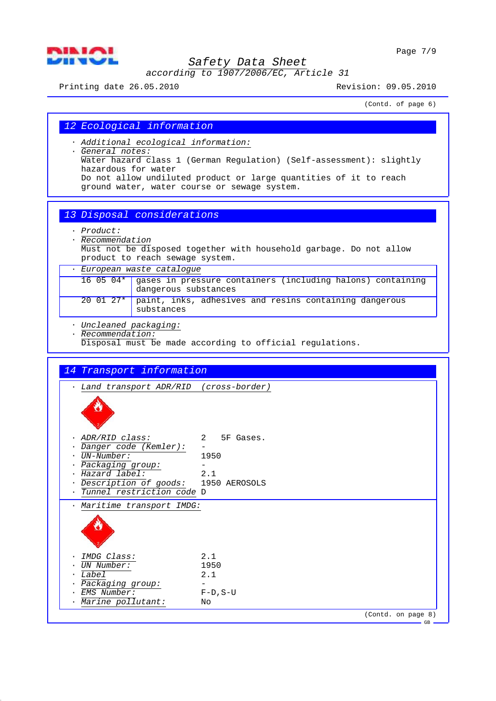



*according to 1907/2006/EC, Article 31*

Printing date 26.05.2010 Revision: 09.05.2010

(Contd. of page 6)

## *12 Ecological information*

- · *Additional ecological information:*
- · *General notes:* Water hazard class 1 (German Regulation) (Self-assessment): slightly hazardous for water Do not allow undiluted product or large quantities of it to reach ground water, water course or sewage system.
- *13 Disposal considerations*
	- · *Product:*
	- · *Recommendation*
	- Must not be disposed together with household garbage. Do not allow product to reach sewage system.

|  | · European waste catalogue |
|--|----------------------------|
|  |                            |

| 16 05 04* gases in pressure containers (including halons) containing<br>dangerous substances |
|----------------------------------------------------------------------------------------------|
| 20 01 27* paint, inks, adhesives and resins containing dangerous<br>substances               |

· *Uncleaned packaging:*

· *Recommendation:*

Disposal must be made according to official regulations.

| 14 Transport information                |                    |  |
|-----------------------------------------|--------------------|--|
| · Land transport ADR/RID (cross-border) |                    |  |
|                                         |                    |  |
| ADR/RID class:                          | 2 5F Gases.        |  |
| Danger code (Kemler):                   |                    |  |
| $UN-Number:$                            | 1950               |  |
| Packaging group:                        |                    |  |
| · Hazard label:                         | 2.1                |  |
| · Description of goods: 1950 AEROSOLS   |                    |  |
| · Tunnel restriction code D             |                    |  |
| · Maritime transport IMDG:              |                    |  |
|                                         |                    |  |
| IMDG Class:                             | 2.1                |  |
| UN Number:                              | 1950               |  |
| <i>Label</i>                            | 2.1                |  |
| Packaging group:                        |                    |  |
| EMS Number:                             | $F-D$ , $S-U$      |  |
| · Marine pollutant:                     | No                 |  |
|                                         | (Contd. on page 8) |  |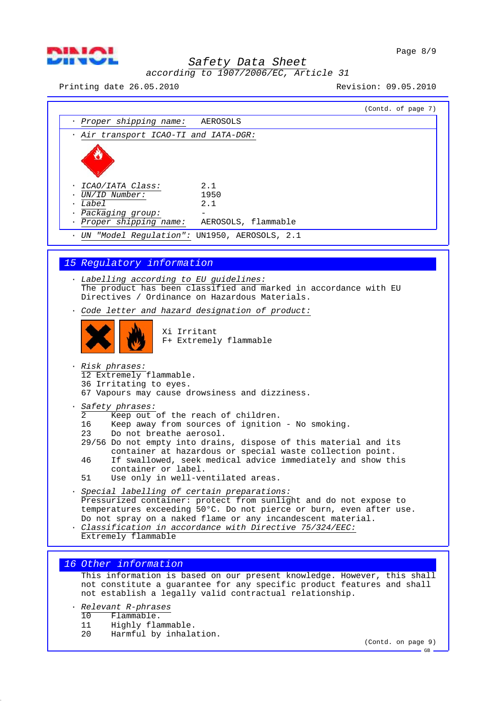

#### Page 8/9

# *Safety Data Sheet*

*according to 1907/2006/EC, Article 31*

Printing date 26.05.2010 Revision: 09.05.2010

| (Contd. of page 7)                                                                                                                                                                                                                                                                                                                                                                              |
|-------------------------------------------------------------------------------------------------------------------------------------------------------------------------------------------------------------------------------------------------------------------------------------------------------------------------------------------------------------------------------------------------|
| · Proper shipping name:<br>AEROSOLS                                                                                                                                                                                                                                                                                                                                                             |
| · Air transport ICAO-TI and IATA-DGR:                                                                                                                                                                                                                                                                                                                                                           |
|                                                                                                                                                                                                                                                                                                                                                                                                 |
| 2.1<br>· ICAO/IATA Class:<br>· UN/ID Number:<br>1950<br>$\cdot$ Label<br>2.1<br>· Packaging group:<br>· Proper shipping name:<br>AEROSOLS, flammable<br>· UN "Model Regulation": UN1950, AEROSOLS, 2.1                                                                                                                                                                                          |
|                                                                                                                                                                                                                                                                                                                                                                                                 |
| 15 Regulatory information<br>· Labelling according to EU guidelines:<br>The product has been classified and marked in accordance with EU                                                                                                                                                                                                                                                        |
| Directives / Ordinance on Hazardous Materials.<br>· Code letter and hazard designation of product:                                                                                                                                                                                                                                                                                              |
| Xi Irritant<br>F+ Extremely flammable                                                                                                                                                                                                                                                                                                                                                           |
| · Risk phrases:<br>12 Extremely flammable.<br>36 Irritating to eyes.<br>67 Vapours may cause drowsiness and dizziness.                                                                                                                                                                                                                                                                          |
| Safety phrases:<br>$\overline{2}$<br>Keep out of the reach of children.<br>16<br>Keep away from sources of ignition - No smoking.<br>23<br>Do not breathe aerosol.<br>29/56 Do not empty into drains, dispose of this material and its<br>container at hazardous or special waste collection point.<br>If swallowed, seek medical advice immediately and show this<br>46<br>container or label. |
| Use only in well-ventilated areas.<br>51                                                                                                                                                                                                                                                                                                                                                        |
| Special labelling of certain preparations:<br>Pressurized container: protect from sunlight and do not expose to<br>temperatures exceeding 50°C. Do not pierce or burn, even after use.<br>Do not spray on a naked flame or any incandescent material.<br>· Classification in accordance with Directive 75/324/EEC:<br>Extremely flammable                                                       |

# *16 Other information*

This information is based on our present knowledge. However, this shall not constitute a guarantee for any specific product features and shall not establish a legally valid contractual relationship.

# · *Relevant R-phrases*

- 10 Flammable.<br>11 Highly fla
- 11 Highly flammable.<br>20 Harmful by inhala
- Harmful by inhalation.

(Contd. on page 9)  $-$  GB